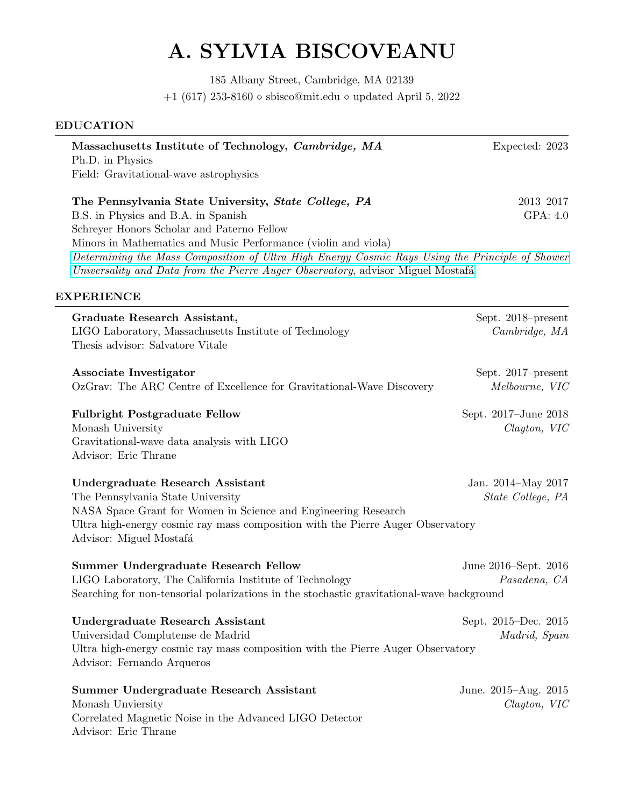# A. SYLVIA BISCOVEANU

185 Albany Street, Cambridge, MA 02139 +1 (617) 253-8160  $\diamond$  sbisco@mit.edu  $\diamond$  updated April 5, 2022

### EDUCATION

| Massachusetts Institute of Technology, Cambridge, MA<br>Ph.D. in Physics<br>Field: Gravitational-wave astrophysics                                                                                                                                                                                                                                                                                | Expected: 2023                                      |
|---------------------------------------------------------------------------------------------------------------------------------------------------------------------------------------------------------------------------------------------------------------------------------------------------------------------------------------------------------------------------------------------------|-----------------------------------------------------|
| The Pennsylvania State University, State College, PA<br>B.S. in Physics and B.A. in Spanish<br>Schreyer Honors Scholar and Paterno Fellow<br>Minors in Mathematics and Music Performance (violin and viola)<br>Determining the Mass Composition of Ultra High Energy Cosmic Rays Using the Principle of Shower<br>Universality and Data from the Pierre Auger Observatory, advisor Miguel Mostafá | 2013–2017<br>GPA: 4.0                               |
| <b>EXPERIENCE</b>                                                                                                                                                                                                                                                                                                                                                                                 |                                                     |
| Graduate Research Assistant,<br>LIGO Laboratory, Massachusetts Institute of Technology<br>Thesis advisor: Salvatore Vitale                                                                                                                                                                                                                                                                        | Sept. 2018-present<br>Cambridge, MA                 |
| Associate Investigator<br>OzGrav: The ARC Centre of Excellence for Gravitational-Wave Discovery                                                                                                                                                                                                                                                                                                   | Sept. 2017–present<br>Melbourne, VIC                |
| <b>Fulbright Postgraduate Fellow</b><br>Monash University<br>Gravitational-wave data analysis with LIGO<br>Advisor: Eric Thrane                                                                                                                                                                                                                                                                   | Sept. 2017-June 2018<br>$Clayton, \, \, \text{VIC}$ |
| <b>Undergraduate Research Assistant</b><br>The Pennsylvania State University<br>NASA Space Grant for Women in Science and Engineering Research<br>Ultra high-energy cosmic ray mass composition with the Pierre Auger Observatory<br>Advisor: Miguel Mostafá                                                                                                                                      | Jan. 2014–May 2017<br>State College, PA             |
| Summer Undergraduate Research Fellow<br>LIGO Laboratory, The California Institute of Technology<br>Searching for non-tensorial polarizations in the stochastic gravitational-wave background                                                                                                                                                                                                      | June 2016–Sept. 2016<br>Pasadena, CA                |
| <b>Undergraduate Research Assistant</b><br>Universidad Complutense de Madrid<br>Ultra high-energy cosmic ray mass composition with the Pierre Auger Observatory<br>Advisor: Fernando Arqueros                                                                                                                                                                                                     | Sept. 2015–Dec. 2015<br>Madrid, Spain               |
| Summer Undergraduate Research Assistant<br>Monash Unviersity<br>Correlated Magnetic Noise in the Advanced LIGO Detector<br>Advisor: Eric Thrane                                                                                                                                                                                                                                                   | June. 2015–Aug. 2015<br>$Clayton, \, \, \text{VIC}$ |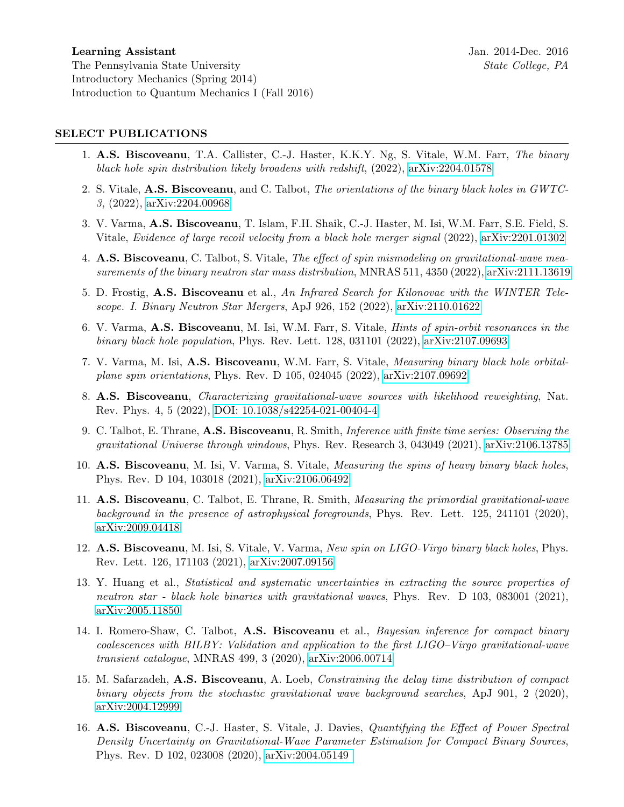#### SELECT PUBLICATIONS

- 1. A.S. Biscoveanu, T.A. Callister, C.-J. Haster, K.K.Y. Ng, S. Vitale, W.M. Farr, The binary black hole spin distribution likely broadens with redshift,  $(2022)$ , [arXiv:2204.01578](https://arxiv.org/abs/2204.01578)
- 2. S. Vitale, A.S. Biscoveanu, and C. Talbot, The orientations of the binary black holes in GWTC-3, (2022), [arXiv:2204.00968](https://arxiv.org/abs/2204.00968)
- 3. V. Varma, A.S. Biscoveanu, T. Islam, F.H. Shaik, C.-J. Haster, M. Isi, W.M. Farr, S.E. Field, S. Vitale, Evidence of large recoil velocity from a black hole merger signal (2022), [arXiv:2201.01302](https://arxiv.org/abs/2201.01302)
- 4. A.S. Biscoveanu, C. Talbot, S. Vitale, The effect of spin mismodeling on gravitational-wave measurements of the binary neutron star mass distribution, MNRAS 511, 4350 (2022), [arXiv:2111.13619](https://arxiv.org/abs/2111.13619)
- 5. D. Frostig, A.S. Biscoveanu et al., An Infrared Search for Kilonovae with the WINTER Telescope. I. Binary Neutron Star Mergers, ApJ 926, 152 (2022), [arXiv:2110.01622](https://arxiv.org/abs/2110.01622)
- 6. V. Varma, A.S. Biscoveanu, M. Isi, W.M. Farr, S. Vitale, Hints of spin-orbit resonances in the binary black hole population, Phys. Rev. Lett. 128, 031101 (2022), [arXiv:2107.09693](https://arxiv.org/abs/2107.09693)
- 7. V. Varma, M. Isi, A.S. Biscoveanu, W.M. Farr, S. Vitale, Measuring binary black hole orbitalplane spin orientations, Phys. Rev. D 105, 024045 (2022), [arXiv:2107.09692](https://arxiv.org/abs/2107.09692)
- 8. A.S. Biscoveanu, Characterizing gravitational-wave sources with likelihood reweighting, Nat. Rev. Phys. 4, 5 (2022), [DOI: 10.1038/s42254-021-00404-4](https://www.nature.com/articles/s42254-021-00404-4)
- 9. C. Talbot, E. Thrane, A.S. Biscoveanu, R. Smith, Inference with finite time series: Observing the gravitational Universe through windows, Phys. Rev. Research 3, 043049 (2021), [arXiv:2106.13785](https://arxiv.org/abs/2106.13785)
- 10. A.S. Biscoveanu, M. Isi, V. Varma, S. Vitale, Measuring the spins of heavy binary black holes, Phys. Rev. D 104, 103018 (2021), [arXiv:2106.06492](https://arxiv.org/abs/2106.06492)
- 11. A.S. Biscoveanu, C. Talbot, E. Thrane, R. Smith, Measuring the primordial gravitational-wave background in the presence of astrophysical foregrounds, Phys. Rev. Lett. 125, 241101 (2020), [arXiv:2009.04418](https://arxiv.org/abs/2009.04418)
- 12. A.S. Biscoveanu, M. Isi, S. Vitale, V. Varma, New spin on LIGO-Virgo binary black holes, Phys. Rev. Lett. 126, 171103 (2021), [arXiv:2007.09156](https://https://arxiv.org/abs/2007.09156)
- 13. Y. Huang et al., Statistical and systematic uncertainties in extracting the source properties of neutron star - black hole binaries with gravitational waves, Phys. Rev. D 103, 083001 (2021), [arXiv:2005.11850](https://arxiv.org/abs/2005.11850)
- 14. I. Romero-Shaw, C. Talbot, A.S. Biscoveanu et al., Bayesian inference for compact binary coalescences with BILBY: Validation and application to the first LIGO–Virgo gravitational-wave transient catalogue, MNRAS 499, 3 (2020), [arXiv:2006.00714](https://arxiv.org/abs/2006.00714)
- 15. M. Safarzadeh, A.S. Biscoveanu, A. Loeb, Constraining the delay time distribution of compact binary objects from the stochastic gravitational wave background searches, ApJ 901, 2 (2020), [arXiv:2004.12999](https://arxiv.org/abs/2004.12999)
- 16. A.S. Biscoveanu, C.-J. Haster, S. Vitale, J. Davies, Quantifying the Effect of Power Spectral Density Uncertainty on Gravitational-Wave Parameter Estimation for Compact Binary Sources, Phys. Rev. D 102, 023008 (2020), [arXiv:2004.05149](https://arxiv.org/abs/2004.05149)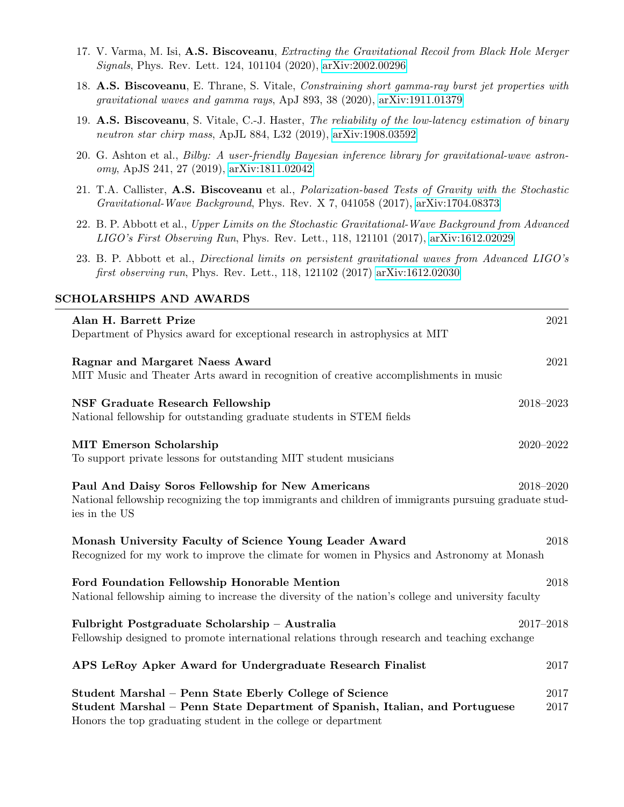- 17. V. Varma, M. Isi, A.S. Biscoveanu, Extracting the Gravitational Recoil from Black Hole Merger Signals, Phys. Rev. Lett. 124, 101104 (2020), [arXiv:2002.00296](https://arxiv.org/abs/2002.00296)
- 18. A.S. Biscoveanu, E. Thrane, S. Vitale, Constraining short gamma-ray burst jet properties with gravitational waves and gamma rays, ApJ 893, 38 (2020), [arXiv:1911.01379](https://arxiv.org/abs/1911.01379)
- 19. A.S. Biscoveanu, S. Vitale, C.-J. Haster, The reliability of the low-latency estimation of binary neutron star chirp mass, ApJL 884, L32 (2019), [arXiv:1908.03592](https://arxiv.org/abs/1908.03592)
- 20. G. Ashton et al., Bilby: A user-friendly Bayesian inference library for gravitational-wave astronomy, ApJS 241, 27 (2019), [arXiv:1811.02042](https://arxiv.org/abs/1811.02042)
- 21. T.A. Callister, A.S. Biscoveanu et al., Polarization-based Tests of Gravity with the Stochastic Gravitational-Wave Background, Phys. Rev. X 7, 041058 (2017), [arXiv:1704.08373](https://arxiv.org/abs/1704.08373)
- 22. B. P. Abbott et al., Upper Limits on the Stochastic Gravitational-Wave Background from Advanced LIGO's First Observing Run, Phys. Rev. Lett., 118, 121101 (2017), [arXiv:1612.02029](https://arxiv.org/abs/1612.02029)
- 23. B. P. Abbott et al., Directional limits on persistent gravitational waves from Advanced LIGO's first observing run, Phys. Rev. Lett., 118, 121102 (2017) [arXiv:1612.02030](https://arxiv.org/abs/1612.02030)

#### SCHOLARSHIPS AND AWARDS

| Alan H. Barrett Prize<br>Department of Physics award for exceptional research in astrophysics at MIT                                                                                                    | 2021          |  |
|---------------------------------------------------------------------------------------------------------------------------------------------------------------------------------------------------------|---------------|--|
| Ragnar and Margaret Naess Award<br>MIT Music and Theater Arts award in recognition of creative accomplishments in music                                                                                 | 2021          |  |
| <b>NSF Graduate Research Fellowship</b><br>National fellowship for outstanding graduate students in STEM fields                                                                                         | 2018-2023     |  |
| <b>MIT Emerson Scholarship</b><br>To support private lessons for outstanding MIT student musicians                                                                                                      | 2020-2022     |  |
| Paul And Daisy Soros Fellowship for New Americans<br>National fellowship recognizing the top immigrants and children of immigrants pursuing graduate stud-<br>ies in the US                             | 2018-2020     |  |
| Monash University Faculty of Science Young Leader Award<br>2018<br>Recognized for my work to improve the climate for women in Physics and Astronomy at Monash                                           |               |  |
| 2018<br>Ford Foundation Fellowship Honorable Mention<br>National fellowship aiming to increase the diversity of the nation's college and university faculty                                             |               |  |
| Fulbright Postgraduate Scholarship - Australia<br>Fellowship designed to promote international relations through research and teaching exchange                                                         | $2017 - 2018$ |  |
| APS LeRoy Apker Award for Undergraduate Research Finalist                                                                                                                                               | 2017          |  |
| Student Marshal - Penn State Eberly College of Science<br>Student Marshal – Penn State Department of Spanish, Italian, and Portuguese<br>Honors the top graduating student in the college or department | 2017<br>2017  |  |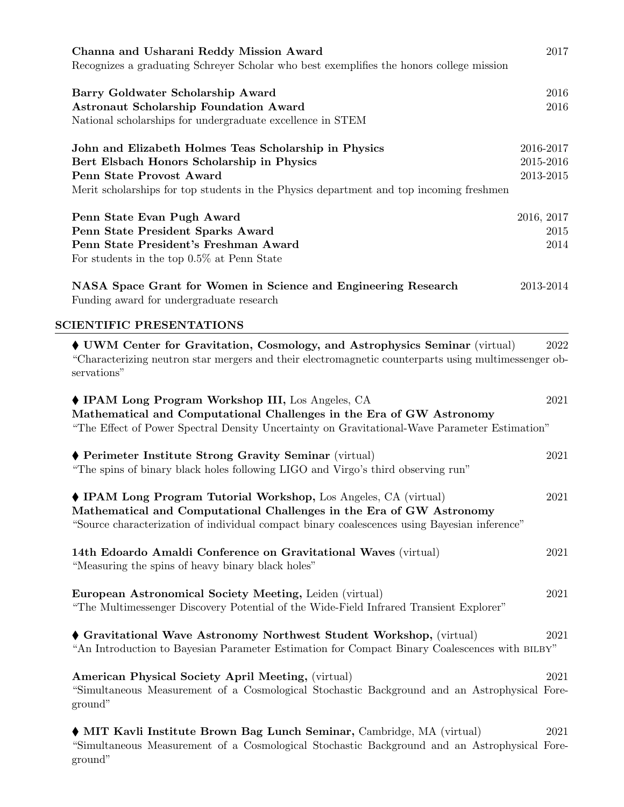| Channa and Usharani Reddy Mission Award<br>Recognizes a graduating Schreyer Scholar who best exemplifies the honors college mission                                                                                                                    | 2017                                |
|--------------------------------------------------------------------------------------------------------------------------------------------------------------------------------------------------------------------------------------------------------|-------------------------------------|
| Barry Goldwater Scholarship Award<br><b>Astronaut Scholarship Foundation Award</b><br>National scholarships for undergraduate excellence in STEM                                                                                                       | 2016<br>2016                        |
| John and Elizabeth Holmes Teas Scholarship in Physics<br>Bert Elsbach Honors Scholarship in Physics<br>Penn State Provost Award<br>Merit scholarships for top students in the Physics department and top incoming freshmen                             | 2016-2017<br>2015-2016<br>2013-2015 |
| Penn State Evan Pugh Award<br>Penn State President Sparks Award<br>Penn State President's Freshman Award<br>For students in the top $0.5\%$ at Penn State                                                                                              | 2016, 2017<br>2015<br>2014          |
| NASA Space Grant for Women in Science and Engineering Research<br>Funding award for undergraduate research                                                                                                                                             | 2013-2014                           |
| <b>SCIENTIFIC PRESENTATIONS</b>                                                                                                                                                                                                                        |                                     |
| UWM Center for Gravitation, Cosmology, and Astrophysics Seminar (virtual)<br>"Characterizing neutron star mergers and their electromagnetic counterparts using multimessenger ob-<br>servations"                                                       | 2022                                |
| ♦ IPAM Long Program Workshop III, Los Angeles, CA<br>Mathematical and Computational Challenges in the Era of GW Astronomy<br>"The Effect of Power Spectral Density Uncertainty on Gravitational-Wave Parameter Estimation"                             | 2021                                |
| ♦ Perimeter Institute Strong Gravity Seminar (virtual)<br>"The spins of binary black holes following LIGO and Virgo's third observing run"                                                                                                             | 2021                                |
| $\blacklozenge$ IPAM Long Program Tutorial Workshop, Los Angeles, CA (virtual)<br>Mathematical and Computational Challenges in the Era of GW Astronomy<br>"Source characterization of individual compact binary coalescences using Bayesian inference" | 2021                                |
| 14th Edoardo Amaldi Conference on Gravitational Waves (virtual)<br>"Measuring the spins of heavy binary black holes"                                                                                                                                   | 2021                                |
| European Astronomical Society Meeting, Leiden (virtual)<br>"The Multimessenger Discovery Potential of the Wide-Field Infrared Transient Explorer"                                                                                                      | 2021                                |
| Gravitational Wave Astronomy Northwest Student Workshop, (virtual)<br>"An Introduction to Bayesian Parameter Estimation for Compact Binary Coalescences with BILBY"                                                                                    | 2021                                |
| <b>American Physical Society April Meeting, (virtual)</b><br>"Simultaneous Measurement of a Cosmological Stochastic Background and an Astrophysical Fore-<br>ground"                                                                                   | 2021                                |
| • MIT Kavli Institute Brown Bag Lunch Seminar, Cambridge, MA (virtual)<br>"Simultaneous Measurement of a Cosmological Stochastic Background and an Astrophysical Fore-<br>ground"                                                                      | 2021                                |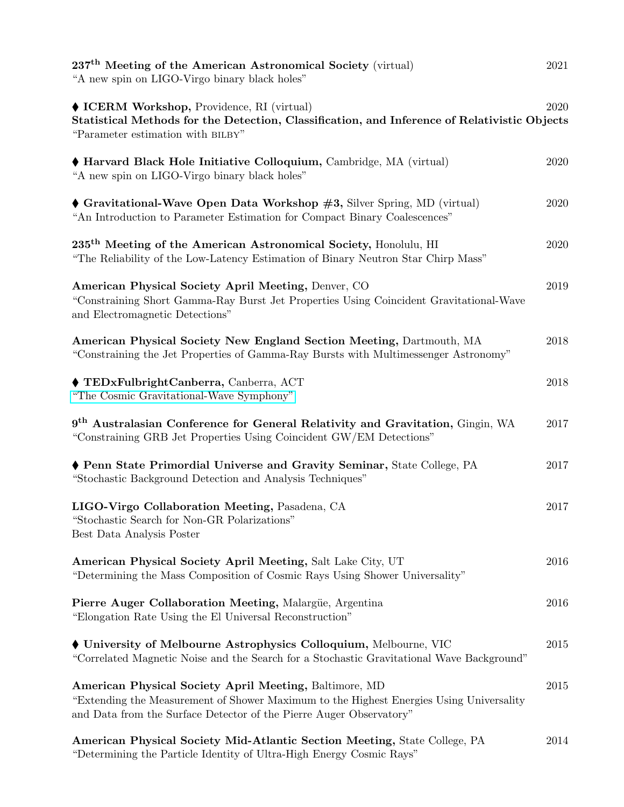| $237th$ Meeting of the American Astronomical Society (virtual)<br>"A new spin on LIGO-Virgo binary black holes"                                                                                                          | 2021     |
|--------------------------------------------------------------------------------------------------------------------------------------------------------------------------------------------------------------------------|----------|
| ♦ ICERM Workshop, Providence, RI (virtual)<br>Statistical Methods for the Detection, Classification, and Inference of Relativistic Objects<br>"Parameter estimation with BILBY"                                          | 2020     |
| ♦ Harvard Black Hole Initiative Colloquium, Cambridge, MA (virtual)<br>"A new spin on LIGO-Virgo binary black holes"                                                                                                     | 2020     |
| $\blacklozenge$ Gravitational-Wave Open Data Workshop $\#3$ , Silver Spring, MD (virtual)<br>"An Introduction to Parameter Estimation for Compact Binary Coalescences"                                                   | 2020     |
| 235 <sup>th</sup> Meeting of the American Astronomical Society, Honolulu, HI<br>"The Reliability of the Low-Latency Estimation of Binary Neutron Star Chirp Mass"                                                        | 2020     |
| American Physical Society April Meeting, Denver, CO<br>"Constraining Short Gamma-Ray Burst Jet Properties Using Coincident Gravitational-Wave<br>and Electromagnetic Detections"                                         | 2019     |
| American Physical Society New England Section Meeting, Dartmouth, MA<br>"Constraining the Jet Properties of Gamma-Ray Bursts with Multimessenger Astronomy"                                                              | 2018     |
| ♦ TEDxFulbrightCanberra, Canberra, ACT<br>"The Cosmic Gravitational-Wave Symphony"                                                                                                                                       | 2018     |
| 9 <sup>th</sup> Australasian Conference for General Relativity and Gravitation, Gingin, WA<br>"Constraining GRB Jet Properties Using Coincident GW/EM Detections"                                                        | 2017     |
| ♦ Penn State Primordial Universe and Gravity Seminar, State College, PA<br>"Stochastic Background Detection and Analysis Techniques"                                                                                     | 2017     |
| LIGO-Virgo Collaboration Meeting, Pasadena, CA<br>"Stochastic Search for Non-GR Polarizations"<br>Best Data Analysis Poster                                                                                              | 2017     |
| American Physical Society April Meeting, Salt Lake City, UT<br>"Determining the Mass Composition of Cosmic Rays Using Shower Universality"                                                                               | 2016     |
| Pierre Auger Collaboration Meeting, Malargüe, Argentina<br>"Elongation Rate Using the El Universal Reconstruction"                                                                                                       | 2016     |
| University of Melbourne Astrophysics Colloquium, Melbourne, VIC<br>"Correlated Magnetic Noise and the Search for a Stochastic Gravitational Wave Background"                                                             | 2015     |
| American Physical Society April Meeting, Baltimore, MD<br>"Extending the Measurement of Shower Maximum to the Highest Energies Using Universality<br>and Data from the Surface Detector of the Pierre Auger Observatory" | $2015\,$ |
| American Physical Society Mid-Atlantic Section Meeting, State College, PA<br>"Determining the Particle Identity of Ultra-High Energy Cosmic Rays"                                                                        | 2014     |